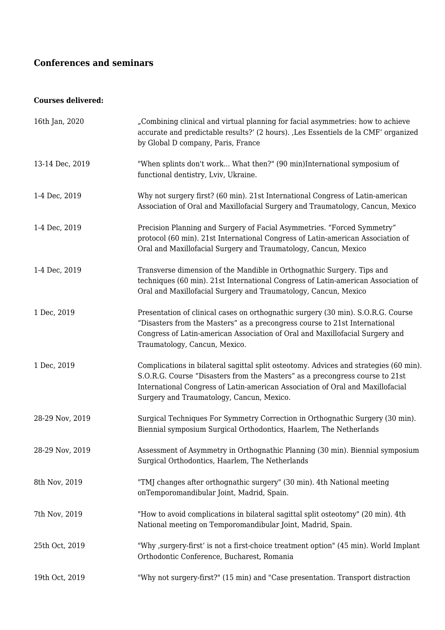# **Conferences and seminars**

## **Courses delivered:**

| 16th Jan, 2020  | "Combining clinical and virtual planning for facial asymmetries: how to achieve<br>accurate and predictable results?' (2 hours). ,Les Essentiels de la CMF' organized<br>by Global D company, Paris, France                                                                                          |
|-----------------|------------------------------------------------------------------------------------------------------------------------------------------------------------------------------------------------------------------------------------------------------------------------------------------------------|
| 13-14 Dec, 2019 | "When splints don't work What then?" (90 min)International symposium of<br>functional dentistry, Lviv, Ukraine.                                                                                                                                                                                      |
| 1-4 Dec, 2019   | Why not surgery first? (60 min). 21st International Congress of Latin-american<br>Association of Oral and Maxillofacial Surgery and Traumatology, Cancun, Mexico                                                                                                                                     |
| 1-4 Dec, 2019   | Precision Planning and Surgery of Facial Asymmetries. "Forced Symmetry"<br>protocol (60 min). 21st International Congress of Latin-american Association of<br>Oral and Maxillofacial Surgery and Traumatology, Cancun, Mexico                                                                        |
| 1-4 Dec, 2019   | Transverse dimension of the Mandible in Orthognathic Surgery. Tips and<br>techniques (60 min). 21st International Congress of Latin-american Association of<br>Oral and Maxillofacial Surgery and Traumatology, Cancun, Mexico                                                                       |
| 1 Dec, 2019     | Presentation of clinical cases on orthognathic surgery (30 min). S.O.R.G. Course<br>"Disasters from the Masters" as a precongress course to 21st International<br>Congress of Latin-american Association of Oral and Maxillofacial Surgery and<br>Traumatology, Cancun, Mexico.                      |
| 1 Dec, 2019     | Complications in bilateral sagittal split osteotomy. Advices and strategies (60 min).<br>S.O.R.G. Course "Disasters from the Masters" as a precongress course to 21st<br>International Congress of Latin-american Association of Oral and Maxillofacial<br>Surgery and Traumatology, Cancun, Mexico. |
| 28-29 Nov, 2019 | Surgical Techniques For Symmetry Correction in Orthognathic Surgery (30 min).<br>Biennial symposium Surgical Orthodontics, Haarlem, The Netherlands                                                                                                                                                  |
| 28-29 Nov, 2019 | Assessment of Asymmetry in Orthognathic Planning (30 min). Biennial symposium<br>Surgical Orthodontics, Haarlem, The Netherlands                                                                                                                                                                     |
| 8th Nov, 2019   | "TMJ changes after orthognathic surgery" (30 min). 4th National meeting<br>onTemporomandibular Joint, Madrid, Spain.                                                                                                                                                                                 |
| 7th Nov, 2019   | "How to avoid complications in bilateral sagittal split osteotomy" (20 min). 4th<br>National meeting on Temporomandibular Joint, Madrid, Spain.                                                                                                                                                      |
| 25th Oct, 2019  | "Why , surgery-first' is not a first-choice treatment option" (45 min). World Implant<br>Orthodontic Conference, Bucharest, Romania                                                                                                                                                                  |
| 19th Oct, 2019  | "Why not surgery-first?" (15 min) and "Case presentation. Transport distraction                                                                                                                                                                                                                      |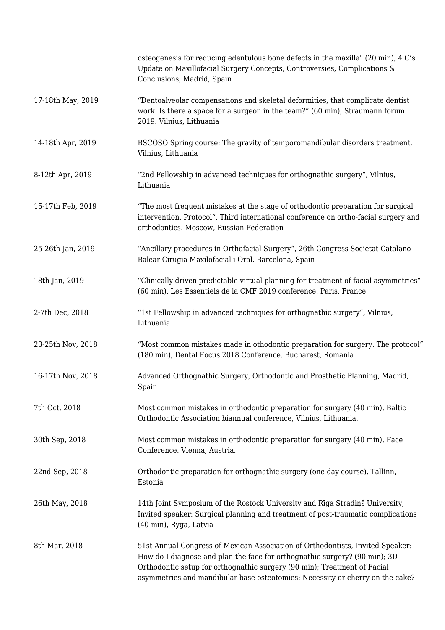|                   | osteogenesis for reducing edentulous bone defects in the maxilla" (20 min), 4 C's<br>Update on Maxillofacial Surgery Concepts, Controversies, Complications &<br>Conclusions, Madrid, Spain                                                                                                                               |
|-------------------|---------------------------------------------------------------------------------------------------------------------------------------------------------------------------------------------------------------------------------------------------------------------------------------------------------------------------|
| 17-18th May, 2019 | "Dentoalveolar compensations and skeletal deformities, that complicate dentist<br>work. Is there a space for a surgeon in the team?" (60 min), Straumann forum<br>2019. Vilnius, Lithuania                                                                                                                                |
| 14-18th Apr, 2019 | BSCOSO Spring course: The gravity of temporomandibular disorders treatment,<br>Vilnius, Lithuania                                                                                                                                                                                                                         |
| 8-12th Apr, 2019  | "2nd Fellowship in advanced techniques for orthognathic surgery", Vilnius,<br>Lithuania                                                                                                                                                                                                                                   |
| 15-17th Feb, 2019 | "The most frequent mistakes at the stage of orthodontic preparation for surgical<br>intervention. Protocol", Third international conference on ortho-facial surgery and<br>orthodontics. Moscow, Russian Federation                                                                                                       |
| 25-26th Jan, 2019 | "Ancillary procedures in Orthofacial Surgery", 26th Congress Societat Catalano<br>Balear Cirugia Maxilofacial i Oral. Barcelona, Spain                                                                                                                                                                                    |
| 18th Jan, 2019    | "Clinically driven predictable virtual planning for treatment of facial asymmetries"<br>(60 min), Les Essentiels de la CMF 2019 conference. Paris, France                                                                                                                                                                 |
| 2-7th Dec, 2018   | "1st Fellowship in advanced techniques for orthognathic surgery", Vilnius,<br>Lithuania                                                                                                                                                                                                                                   |
| 23-25th Nov, 2018 | "Most common mistakes made in othodontic preparation for surgery. The protocol"<br>(180 min), Dental Focus 2018 Conference. Bucharest, Romania                                                                                                                                                                            |
| 16-17th Nov, 2018 | Advanced Orthognathic Surgery, Orthodontic and Prosthetic Planning, Madrid,<br>Spain                                                                                                                                                                                                                                      |
| 7th Oct, 2018     | Most common mistakes in orthodontic preparation for surgery (40 min), Baltic<br>Orthodontic Association biannual conference, Vilnius, Lithuania.                                                                                                                                                                          |
| 30th Sep, 2018    | Most common mistakes in orthodontic preparation for surgery (40 min), Face<br>Conference. Vienna, Austria.                                                                                                                                                                                                                |
| 22nd Sep, 2018    | Orthodontic preparation for orthognathic surgery (one day course). Tallinn,<br>Estonia                                                                                                                                                                                                                                    |
| 26th May, 2018    | 14th Joint Symposium of the Rostock University and Rīga Stradiņš University,<br>Invited speaker: Surgical planning and treatment of post-traumatic complications<br>(40 min), Ryga, Latvia                                                                                                                                |
| 8th Mar, 2018     | 51st Annual Congress of Mexican Association of Orthodontists, Invited Speaker:<br>How do I diagnose and plan the face for orthognathic surgery? (90 min); 3D<br>Orthodontic setup for orthognathic surgery (90 min); Treatment of Facial<br>asymmetries and mandibular base osteotomies: Necessity or cherry on the cake? |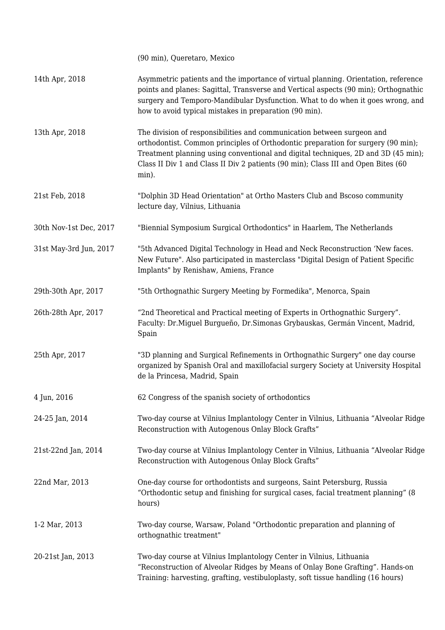|                        | (90 min), Queretaro, Mexico                                                                                                                                                                                                                                                                                                                   |
|------------------------|-----------------------------------------------------------------------------------------------------------------------------------------------------------------------------------------------------------------------------------------------------------------------------------------------------------------------------------------------|
| 14th Apr, 2018         | Asymmetric patients and the importance of virtual planning. Orientation, reference<br>points and planes: Sagittal, Transverse and Vertical aspects (90 min); Orthognathic<br>surgery and Temporo-Mandibular Dysfunction. What to do when it goes wrong, and<br>how to avoid typical mistakes in preparation (90 min).                         |
| 13th Apr, 2018         | The division of responsibilities and communication between surgeon and<br>orthodontist. Common principles of Orthodontic preparation for surgery (90 min);<br>Treatment planning using conventional and digital techniques, 2D and 3D (45 min);<br>Class II Div 1 and Class II Div 2 patients (90 min); Class III and Open Bites (60<br>min). |
| 21st Feb, 2018         | "Dolphin 3D Head Orientation" at Ortho Masters Club and Bscoso community<br>lecture day, Vilnius, Lithuania                                                                                                                                                                                                                                   |
| 30th Nov-1st Dec, 2017 | "Biennial Symposium Surgical Orthodontics" in Haarlem, The Netherlands                                                                                                                                                                                                                                                                        |
| 31st May-3rd Jun, 2017 | "5th Advanced Digital Technology in Head and Neck Reconstruction 'New faces.<br>New Future". Also participated in masterclass "Digital Design of Patient Specific<br>Implants" by Renishaw, Amiens, France                                                                                                                                    |
| 29th-30th Apr, 2017    | "5th Orthognathic Surgery Meeting by Formedika", Menorca, Spain                                                                                                                                                                                                                                                                               |
| 26th-28th Apr, 2017    | "2nd Theoretical and Practical meeting of Experts in Orthognathic Surgery".<br>Faculty: Dr.Miguel Burgueño, Dr.Simonas Grybauskas, Germán Vincent, Madrid,<br>Spain                                                                                                                                                                           |
| 25th Apr, 2017         | "3D planning and Surgical Refinements in Orthognathic Surgery" one day course<br>organized by Spanish Oral and maxillofacial surgery Society at University Hospital<br>de la Princesa, Madrid, Spain                                                                                                                                          |
| 4 Jun, 2016            | 62 Congress of the spanish society of orthodontics                                                                                                                                                                                                                                                                                            |
| 24-25 Jan, 2014        | Two-day course at Vilnius Implantology Center in Vilnius, Lithuania "Alveolar Ridge<br>Reconstruction with Autogenous Onlay Block Grafts"                                                                                                                                                                                                     |
| 21st-22nd Jan, 2014    | Two-day course at Vilnius Implantology Center in Vilnius, Lithuania "Alveolar Ridge<br>Reconstruction with Autogenous Onlay Block Grafts"                                                                                                                                                                                                     |
| 22nd Mar, 2013         | One-day course for orthodontists and surgeons, Saint Petersburg, Russia<br>"Orthodontic setup and finishing for surgical cases, facial treatment planning" (8<br>hours)                                                                                                                                                                       |
| 1-2 Mar, 2013          | Two-day course, Warsaw, Poland "Orthodontic preparation and planning of<br>orthognathic treatment"                                                                                                                                                                                                                                            |
| 20-21st Jan, 2013      | Two-day course at Vilnius Implantology Center in Vilnius, Lithuania<br>"Reconstruction of Alveolar Ridges by Means of Onlay Bone Grafting". Hands-on<br>Training: harvesting, grafting, vestibuloplasty, soft tissue handling (16 hours)                                                                                                      |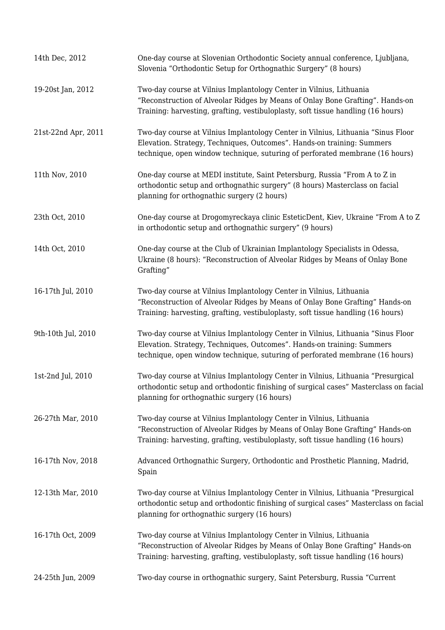| 14th Dec, 2012      | One-day course at Slovenian Orthodontic Society annual conference, Ljubljana,<br>Slovenia "Orthodontic Setup for Orthognathic Surgery" (8 hours)                                                                                           |
|---------------------|--------------------------------------------------------------------------------------------------------------------------------------------------------------------------------------------------------------------------------------------|
| 19-20st Jan, 2012   | Two-day course at Vilnius Implantology Center in Vilnius, Lithuania<br>"Reconstruction of Alveolar Ridges by Means of Onlay Bone Grafting". Hands-on<br>Training: harvesting, grafting, vestibuloplasty, soft tissue handling (16 hours)   |
| 21st-22nd Apr, 2011 | Two-day course at Vilnius Implantology Center in Vilnius, Lithuania "Sinus Floor<br>Elevation. Strategy, Techniques, Outcomes". Hands-on training: Summers<br>technique, open window technique, suturing of perforated membrane (16 hours) |
| 11th Nov, 2010      | One-day course at MEDI institute, Saint Petersburg, Russia "From A to Z in<br>orthodontic setup and orthognathic surgery" (8 hours) Masterclass on facial<br>planning for orthognathic surgery (2 hours)                                   |
| 23th Oct, 2010      | One-day course at Drogomyreckaya clinic EsteticDent, Kiev, Ukraine "From A to Z<br>in orthodontic setup and orthognathic surgery" (9 hours)                                                                                                |
| 14th Oct, 2010      | One-day course at the Club of Ukrainian Implantology Specialists in Odessa,<br>Ukraine (8 hours): "Reconstruction of Alveolar Ridges by Means of Onlay Bone<br>Grafting"                                                                   |
| 16-17th Jul, 2010   | Two-day course at Vilnius Implantology Center in Vilnius, Lithuania<br>"Reconstruction of Alveolar Ridges by Means of Onlay Bone Grafting" Hands-on<br>Training: harvesting, grafting, vestibuloplasty, soft tissue handling (16 hours)    |
| 9th-10th Jul, 2010  | Two-day course at Vilnius Implantology Center in Vilnius, Lithuania "Sinus Floor<br>Elevation. Strategy, Techniques, Outcomes". Hands-on training: Summers<br>technique, open window technique, suturing of perforated membrane (16 hours) |
| 1st-2nd Jul, 2010   | Two-day course at Vilnius Implantology Center in Vilnius, Lithuania "Presurgical<br>orthodontic setup and orthodontic finishing of surgical cases" Masterclass on facial<br>planning for orthognathic surgery (16 hours)                   |
| 26-27th Mar, 2010   | Two-day course at Vilnius Implantology Center in Vilnius, Lithuania<br>"Reconstruction of Alveolar Ridges by Means of Onlay Bone Grafting" Hands-on<br>Training: harvesting, grafting, vestibuloplasty, soft tissue handling (16 hours)    |
| 16-17th Nov, 2018   | Advanced Orthognathic Surgery, Orthodontic and Prosthetic Planning, Madrid,<br>Spain                                                                                                                                                       |
| 12-13th Mar, 2010   | Two-day course at Vilnius Implantology Center in Vilnius, Lithuania "Presurgical<br>orthodontic setup and orthodontic finishing of surgical cases" Masterclass on facial<br>planning for orthognathic surgery (16 hours)                   |
| 16-17th Oct, 2009   | Two-day course at Vilnius Implantology Center in Vilnius, Lithuania<br>"Reconstruction of Alveolar Ridges by Means of Onlay Bone Grafting" Hands-on<br>Training: harvesting, grafting, vestibuloplasty, soft tissue handling (16 hours)    |
| 24-25th Jun, 2009   | Two-day course in orthognathic surgery, Saint Petersburg, Russia "Current                                                                                                                                                                  |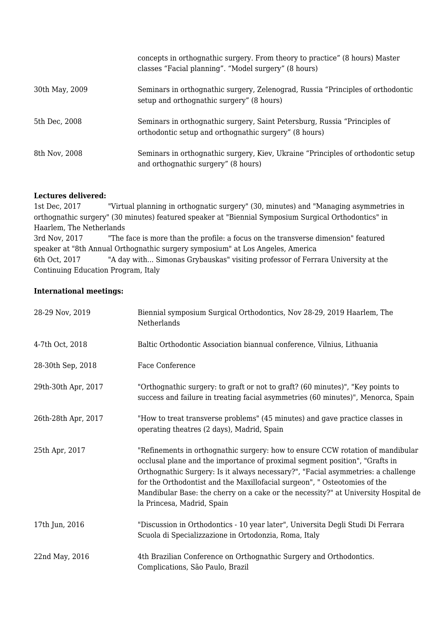|                | concepts in orthographic surgery. From theory to practice" (8 hours) Master<br>classes "Facial planning". "Model surgery" (8 hours) |
|----------------|-------------------------------------------------------------------------------------------------------------------------------------|
| 30th May, 2009 | Seminars in orthognathic surgery, Zelenograd, Russia "Principles of orthodontic<br>setup and orthognathic surgery" (8 hours)        |
| 5th Dec, 2008  | Seminars in orthognathic surgery, Saint Petersburg, Russia "Principles of<br>orthodontic setup and orthognathic surgery" (8 hours)  |
| 8th Nov, 2008  | Seminars in orthognathic surgery, Kiev, Ukraine "Principles of orthodontic setup<br>and orthognathic surgery" (8 hours)             |

#### **Lectures delivered:**

1st Dec, 2017 "Virtual planning in orthognatic surgery" (30, minutes) and "Managing asymmetries in orthognathic surgery" (30 minutes) featured speaker at "Biennial Symposium Surgical Orthodontics" in Haarlem, The Netherlands 3rd Nov, 2017 "The face is more than the profile: a focus on the transverse dimension" featured speaker at "8th Annual Orthognathic surgery symposium" at Los Angeles, America 6th Oct, 2017 "A day with... Simonas Grybauskas" visiting professor of Ferrara University at the Continuing Education Program, Italy

### **International meetings:**

| 28-29 Nov, 2019     | Biennial symposium Surgical Orthodontics, Nov 28-29, 2019 Haarlem, The<br>Netherlands                                                                                                                                                                                                                                                                                                                                                              |
|---------------------|----------------------------------------------------------------------------------------------------------------------------------------------------------------------------------------------------------------------------------------------------------------------------------------------------------------------------------------------------------------------------------------------------------------------------------------------------|
| 4-7th Oct, 2018     | Baltic Orthodontic Association biannual conference, Vilnius, Lithuania                                                                                                                                                                                                                                                                                                                                                                             |
| 28-30th Sep, 2018   | Face Conference                                                                                                                                                                                                                                                                                                                                                                                                                                    |
| 29th-30th Apr, 2017 | "Orthognathic surgery: to graft or not to graft? (60 minutes)", "Key points to<br>success and failure in treating facial asymmetries (60 minutes)", Menorca, Spain                                                                                                                                                                                                                                                                                 |
| 26th-28th Apr, 2017 | "How to treat transverse problems" (45 minutes) and gave practice classes in<br>operating theatres (2 days), Madrid, Spain                                                                                                                                                                                                                                                                                                                         |
| 25th Apr, 2017      | "Refinements in orthognathic surgery: how to ensure CCW rotation of mandibular<br>occlusal plane and the importance of proximal segment position", "Grafts in<br>Orthognathic Surgery: Is it always necessary?", "Facial asymmetries: a challenge<br>for the Orthodontist and the Maxillofacial surgeon", " Osteotomies of the<br>Mandibular Base: the cherry on a cake or the necessity?" at University Hospital de<br>la Princesa, Madrid, Spain |
| 17th Jun, 2016      | "Discussion in Orthodontics - 10 year later", Universita Degli Studi Di Ferrara<br>Scuola di Specializzazione in Ortodonzia, Roma, Italy                                                                                                                                                                                                                                                                                                           |
| 22nd May, 2016      | 4th Brazilian Conference on Orthognathic Surgery and Orthodontics.<br>Complications, São Paulo, Brazil                                                                                                                                                                                                                                                                                                                                             |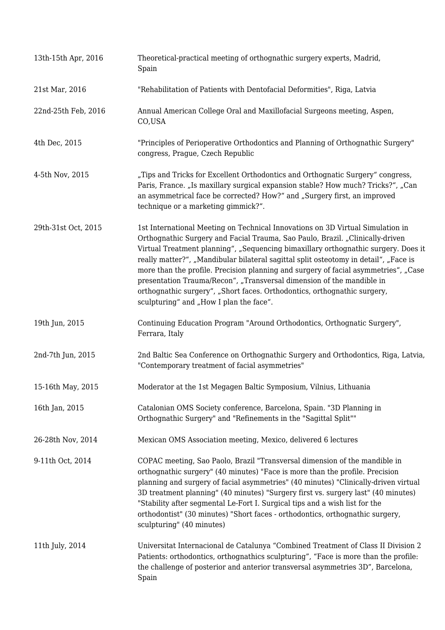| 13th-15th Apr, 2016 | Theoretical-practical meeting of orthognathic surgery experts, Madrid,<br>Spain                                                                                                                                                                                                                                                                                                                                                                                                                                                                                                                                                      |
|---------------------|--------------------------------------------------------------------------------------------------------------------------------------------------------------------------------------------------------------------------------------------------------------------------------------------------------------------------------------------------------------------------------------------------------------------------------------------------------------------------------------------------------------------------------------------------------------------------------------------------------------------------------------|
| 21st Mar, 2016      | "Rehabilitation of Patients with Dentofacial Deformities", Riga, Latvia                                                                                                                                                                                                                                                                                                                                                                                                                                                                                                                                                              |
| 22nd-25th Feb, 2016 | Annual American College Oral and Maxillofacial Surgeons meeting, Aspen,<br>CO,USA                                                                                                                                                                                                                                                                                                                                                                                                                                                                                                                                                    |
| 4th Dec, 2015       | "Principles of Perioperative Orthodontics and Planning of Orthognathic Surgery"<br>congress, Prague, Czech Republic                                                                                                                                                                                                                                                                                                                                                                                                                                                                                                                  |
| 4-5th Nov, 2015     | "Tips and Tricks for Excellent Orthodontics and Orthognatic Surgery" congress,<br>Paris, France. "Is maxillary surgical expansion stable? How much? Tricks?", "Can<br>an asymmetrical face be corrected? How?" and "Surgery first, an improved<br>technique or a marketing gimmick?".                                                                                                                                                                                                                                                                                                                                                |
| 29th-31st Oct, 2015 | 1st International Meeting on Technical Innovations on 3D Virtual Simulation in<br>Orthognathic Surgery and Facial Trauma, Sao Paulo, Brazil. "Clinically-driven<br>Virtual Treatment planning", "Sequencing bimaxillary orthognathic surgery. Does it<br>really matter?", "Mandibular bilateral sagittal split osteotomy in detail", "Face is<br>more than the profile. Precision planning and surgery of facial asymmetries", "Case<br>presentation Trauma/Recon", "Transversal dimension of the mandible in<br>orthognathic surgery", "Short faces. Orthodontics, orthognathic surgery,<br>sculpturing" and "How I plan the face". |
| 19th Jun, 2015      | Continuing Education Program "Around Orthodontics, Orthognatic Surgery",<br>Ferrara, Italy                                                                                                                                                                                                                                                                                                                                                                                                                                                                                                                                           |
| 2nd-7th Jun, 2015   | 2nd Baltic Sea Conference on Orthognathic Surgery and Orthodontics, Riga, Latvia,<br>"Contemporary treatment of facial asymmetries"                                                                                                                                                                                                                                                                                                                                                                                                                                                                                                  |
| 15-16th May, 2015   | Moderator at the 1st Megagen Baltic Symposium, Vilnius, Lithuania                                                                                                                                                                                                                                                                                                                                                                                                                                                                                                                                                                    |
| 16th Jan, 2015      | Catalonian OMS Society conference, Barcelona, Spain. "3D Planning in<br>Orthognathic Surgery" and "Refinements in the "Sagittal Split""                                                                                                                                                                                                                                                                                                                                                                                                                                                                                              |
| 26-28th Nov, 2014   | Mexican OMS Association meeting, Mexico, delivered 6 lectures                                                                                                                                                                                                                                                                                                                                                                                                                                                                                                                                                                        |
| 9-11th Oct, 2014    | COPAC meeting, Sao Paolo, Brazil "Transversal dimension of the mandible in<br>orthognathic surgery" (40 minutes) "Face is more than the profile. Precision<br>planning and surgery of facial asymmetries" (40 minutes) "Clinically-driven virtual<br>3D treatment planning" (40 minutes) "Surgery first vs. surgery last" (40 minutes)<br>"Stability after segmental Le-Fort I. Surgical tips and a wish list for the<br>orthodontist" (30 minutes) "Short faces - orthodontics, orthognathic surgery,<br>sculpturing" (40 minutes)                                                                                                  |
| 11th July, 2014     | Universitat Internacional de Catalunya "Combined Treatment of Class II Division 2<br>Patients: orthodontics, orthognathics sculpturing", "Face is more than the profile:<br>the challenge of posterior and anterior transversal asymmetries 3D", Barcelona,<br>Spain                                                                                                                                                                                                                                                                                                                                                                 |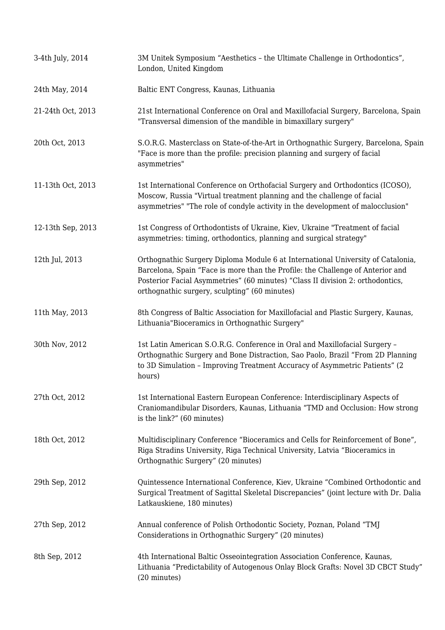| 3-4th July, 2014  | 3M Unitek Symposium "Aesthetics - the Ultimate Challenge in Orthodontics",<br>London, United Kingdom                                                                                                                                                                                                 |
|-------------------|------------------------------------------------------------------------------------------------------------------------------------------------------------------------------------------------------------------------------------------------------------------------------------------------------|
| 24th May, 2014    | Baltic ENT Congress, Kaunas, Lithuania                                                                                                                                                                                                                                                               |
| 21-24th Oct, 2013 | 21st International Conference on Oral and Maxillofacial Surgery, Barcelona, Spain<br>"Transversal dimension of the mandible in bimaxillary surgery"                                                                                                                                                  |
| 20th Oct, 2013    | S.O.R.G. Masterclass on State-of-the-Art in Orthognathic Surgery, Barcelona, Spain<br>"Face is more than the profile: precision planning and surgery of facial<br>asymmetries"                                                                                                                       |
| 11-13th Oct, 2013 | 1st International Conference on Orthofacial Surgery and Orthodontics (ICOSO),<br>Moscow, Russia "Virtual treatment planning and the challenge of facial<br>asymmetries" "The role of condyle activity in the development of malocclusion"                                                            |
| 12-13th Sep, 2013 | 1st Congress of Orthodontists of Ukraine, Kiev, Ukraine "Treatment of facial<br>asymmetries: timing, orthodontics, planning and surgical strategy"                                                                                                                                                   |
| 12th Jul, 2013    | Orthognathic Surgery Diploma Module 6 at International University of Catalonia,<br>Barcelona, Spain "Face is more than the Profile: the Challenge of Anterior and<br>Posterior Facial Asymmetries" (60 minutes) "Class II division 2: orthodontics,<br>orthognathic surgery, sculpting" (60 minutes) |
| 11th May, 2013    | 8th Congress of Baltic Association for Maxillofacial and Plastic Surgery, Kaunas,<br>Lithuania"Bioceramics in Orthognathic Surgery"                                                                                                                                                                  |
| 30th Nov, 2012    | 1st Latin American S.O.R.G. Conference in Oral and Maxillofacial Surgery -<br>Orthognathic Surgery and Bone Distraction, Sao Paolo, Brazil "From 2D Planning<br>to 3D Simulation - Improving Treatment Accuracy of Asymmetric Patients" (2)<br>hours)                                                |
| 27th Oct, 2012    | 1st International Eastern European Conference: Interdisciplinary Aspects of<br>Craniomandibular Disorders, Kaunas, Lithuania "TMD and Occlusion: How strong<br>is the link?" (60 minutes)                                                                                                            |
| 18th Oct, 2012    | Multidisciplinary Conference "Bioceramics and Cells for Reinforcement of Bone",<br>Riga Stradins University, Riga Technical University, Latvia "Bioceramics in<br>Orthognathic Surgery" (20 minutes)                                                                                                 |
| 29th Sep, 2012    | Quintessence International Conference, Kiev, Ukraine "Combined Orthodontic and<br>Surgical Treatment of Sagittal Skeletal Discrepancies" (joint lecture with Dr. Dalia<br>Latkauskiene, 180 minutes)                                                                                                 |
| 27th Sep, 2012    | Annual conference of Polish Orthodontic Society, Poznan, Poland "TMJ<br>Considerations in Orthognathic Surgery" (20 minutes)                                                                                                                                                                         |
| 8th Sep, 2012     | 4th International Baltic Osseointegration Association Conference, Kaunas,<br>Lithuania "Predictability of Autogenous Onlay Block Grafts: Novel 3D CBCT Study"<br>(20 minutes)                                                                                                                        |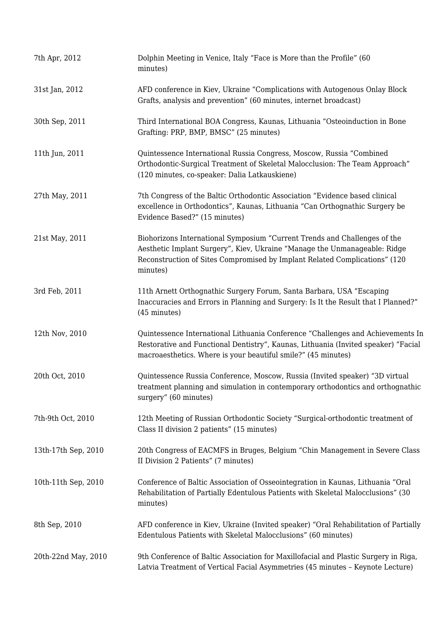| 7th Apr, 2012       | Dolphin Meeting in Venice, Italy "Face is More than the Profile" (60<br>minutes)                                                                                                                                                                 |
|---------------------|--------------------------------------------------------------------------------------------------------------------------------------------------------------------------------------------------------------------------------------------------|
| 31st Jan, 2012      | AFD conference in Kiev, Ukraine "Complications with Autogenous Onlay Block<br>Grafts, analysis and prevention" (60 minutes, internet broadcast)                                                                                                  |
| 30th Sep, 2011      | Third International BOA Congress, Kaunas, Lithuania "Osteoinduction in Bone<br>Grafting: PRP, BMP, BMSC" (25 minutes)                                                                                                                            |
| 11th Jun, 2011      | Quintessence International Russia Congress, Moscow, Russia "Combined<br>Orthodontic-Surgical Treatment of Skeletal Malocclusion: The Team Approach"<br>(120 minutes, co-speaker: Dalia Latkauskiene)                                             |
| 27th May, 2011      | 7th Congress of the Baltic Orthodontic Association "Evidence based clinical<br>excellence in Orthodontics", Kaunas, Lithuania "Can Orthognathic Surgery be<br>Evidence Based?" (15 minutes)                                                      |
| 21st May, 2011      | Biohorizons International Symposium "Current Trends and Challenges of the<br>Aesthetic Implant Surgery", Kiev, Ukraine "Manage the Unmanageable: Ridge<br>Reconstruction of Sites Compromised by Implant Related Complications" (120<br>minutes) |
| 3rd Feb, 2011       | 11th Arnett Orthognathic Surgery Forum, Santa Barbara, USA "Escaping<br>Inaccuracies and Errors in Planning and Surgery: Is It the Result that I Planned?"<br>(45 minutes)                                                                       |
| 12th Nov, 2010      | Quintessence International Lithuania Conference "Challenges and Achievements In<br>Restorative and Functional Dentistry", Kaunas, Lithuania (Invited speaker) "Facial<br>macroaesthetics. Where is your beautiful smile?" (45 minutes)           |
| 20th Oct, 2010      | Quintessence Russia Conference, Moscow, Russia (Invited speaker) "3D virtual<br>treatment planning and simulation in contemporary orthodontics and orthognathic<br>surgery" (60 minutes)                                                         |
| 7th-9th Oct, 2010   | 12th Meeting of Russian Orthodontic Society "Surgical-orthodontic treatment of<br>Class II division 2 patients" (15 minutes)                                                                                                                     |
| 13th-17th Sep, 2010 | 20th Congress of EACMFS in Bruges, Belgium "Chin Management in Severe Class<br>II Division 2 Patients" (7 minutes)                                                                                                                               |
| 10th-11th Sep, 2010 | Conference of Baltic Association of Osseointegration in Kaunas, Lithuania "Oral<br>Rehabilitation of Partially Edentulous Patients with Skeletal Malocclusions" (30<br>minutes)                                                                  |
| 8th Sep, 2010       | AFD conference in Kiev, Ukraine (Invited speaker) "Oral Rehabilitation of Partially<br>Edentulous Patients with Skeletal Malocclusions" (60 minutes)                                                                                             |
| 20th-22nd May, 2010 | 9th Conference of Baltic Association for Maxillofacial and Plastic Surgery in Riga,<br>Latvia Treatment of Vertical Facial Asymmetries (45 minutes - Keynote Lecture)                                                                            |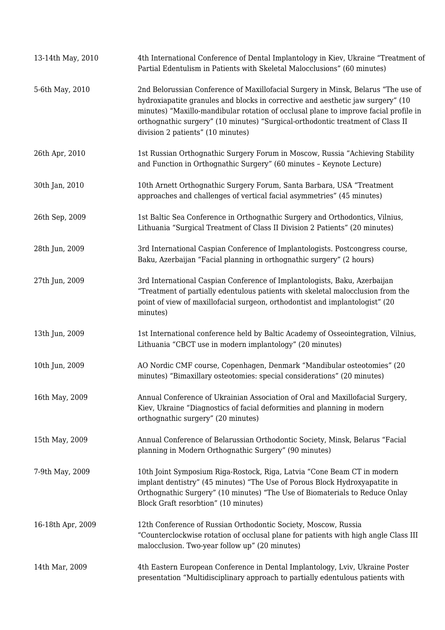| 13-14th May, 2010 | 4th International Conference of Dental Implantology in Kiev, Ukraine "Treatment of<br>Partial Edentulism in Patients with Skeletal Malocclusions" (60 minutes)                                                                                                                                                                                                                      |
|-------------------|-------------------------------------------------------------------------------------------------------------------------------------------------------------------------------------------------------------------------------------------------------------------------------------------------------------------------------------------------------------------------------------|
| 5-6th May, 2010   | 2nd Belorussian Conference of Maxillofacial Surgery in Minsk, Belarus "The use of<br>hydroxiapatite granules and blocks in corrective and aesthetic jaw surgery" (10<br>minutes) "Maxillo-mandibular rotation of occlusal plane to improve facial profile in<br>orthognathic surgery" (10 minutes) "Surgical-orthodontic treatment of Class II<br>division 2 patients" (10 minutes) |
| 26th Apr, 2010    | 1st Russian Orthognathic Surgery Forum in Moscow, Russia "Achieving Stability<br>and Function in Orthognathic Surgery" (60 minutes - Keynote Lecture)                                                                                                                                                                                                                               |
| 30th Jan, 2010    | 10th Arnett Orthognathic Surgery Forum, Santa Barbara, USA "Treatment<br>approaches and challenges of vertical facial asymmetries" (45 minutes)                                                                                                                                                                                                                                     |
| 26th Sep, 2009    | 1st Baltic Sea Conference in Orthognathic Surgery and Orthodontics, Vilnius,<br>Lithuania "Surgical Treatment of Class II Division 2 Patients" (20 minutes)                                                                                                                                                                                                                         |
| 28th Jun, 2009    | 3rd International Caspian Conference of Implantologists. Postcongress course,<br>Baku, Azerbaijan "Facial planning in orthognathic surgery" (2 hours)                                                                                                                                                                                                                               |
| 27th Jun, 2009    | 3rd International Caspian Conference of Implantologists, Baku, Azerbaijan<br>"Treatment of partially edentulous patients with skeletal malocclusion from the<br>point of view of maxillofacial surgeon, orthodontist and implantologist" (20<br>minutes)                                                                                                                            |
| 13th Jun, 2009    | 1st International conference held by Baltic Academy of Osseointegration, Vilnius,<br>Lithuania "CBCT use in modern implantology" (20 minutes)                                                                                                                                                                                                                                       |
| 10th Jun, 2009    | AO Nordic CMF course, Copenhagen, Denmark "Mandibular osteotomies" (20<br>minutes) "Bimaxillary osteotomies: special considerations" (20 minutes)                                                                                                                                                                                                                                   |
| 16th May, 2009    | Annual Conference of Ukrainian Association of Oral and Maxillofacial Surgery,<br>Kiev, Ukraine "Diagnostics of facial deformities and planning in modern<br>orthognathic surgery" (20 minutes)                                                                                                                                                                                      |
| 15th May, 2009    | Annual Conference of Belarussian Orthodontic Society, Minsk, Belarus "Facial<br>planning in Modern Orthognathic Surgery" (90 minutes)                                                                                                                                                                                                                                               |
| 7-9th May, 2009   | 10th Joint Symposium Riga-Rostock, Riga, Latvia "Cone Beam CT in modern<br>implant dentistry" (45 minutes) "The Use of Porous Block Hydroxyapatite in<br>Orthognathic Surgery" (10 minutes) "The Use of Biomaterials to Reduce Onlay<br>Block Graft resorbtion" (10 minutes)                                                                                                        |
| 16-18th Apr, 2009 | 12th Conference of Russian Orthodontic Society, Moscow, Russia<br>"Counterclockwise rotation of occlusal plane for patients with high angle Class III<br>malocclusion. Two-year follow up" (20 minutes)                                                                                                                                                                             |
| 14th Mar, 2009    | 4th Eastern European Conference in Dental Implantology, Lviv, Ukraine Poster<br>presentation "Multidisciplinary approach to partially edentulous patients with                                                                                                                                                                                                                      |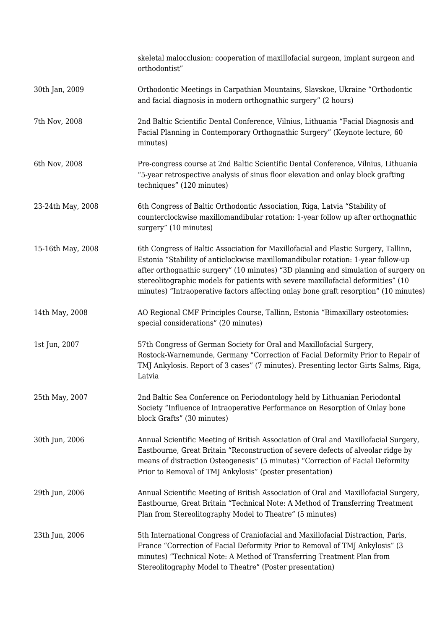|                   | skeletal malocclusion: cooperation of maxillofacial surgeon, implant surgeon and<br>orthodontist"                                                                                                                                                                                                                                                                                                                                        |
|-------------------|------------------------------------------------------------------------------------------------------------------------------------------------------------------------------------------------------------------------------------------------------------------------------------------------------------------------------------------------------------------------------------------------------------------------------------------|
| 30th Jan, 2009    | Orthodontic Meetings in Carpathian Mountains, Slavskoe, Ukraine "Orthodontic<br>and facial diagnosis in modern orthognathic surgery" (2 hours)                                                                                                                                                                                                                                                                                           |
| 7th Nov, 2008     | 2nd Baltic Scientific Dental Conference, Vilnius, Lithuania "Facial Diagnosis and<br>Facial Planning in Contemporary Orthognathic Surgery" (Keynote lecture, 60<br>minutes)                                                                                                                                                                                                                                                              |
| 6th Nov, 2008     | Pre-congress course at 2nd Baltic Scientific Dental Conference, Vilnius, Lithuania<br>"5-year retrospective analysis of sinus floor elevation and onlay block grafting<br>techniques" (120 minutes)                                                                                                                                                                                                                                      |
| 23-24th May, 2008 | 6th Congress of Baltic Orthodontic Association, Riga, Latvia "Stability of<br>counterclockwise maxillomandibular rotation: 1-year follow up after orthognathic<br>surgery" (10 minutes)                                                                                                                                                                                                                                                  |
| 15-16th May, 2008 | 6th Congress of Baltic Association for Maxillofacial and Plastic Surgery, Tallinn,<br>Estonia "Stability of anticlockwise maxillomandibular rotation: 1-year follow-up<br>after orthognathic surgery" (10 minutes) "3D planning and simulation of surgery on<br>stereolitographic models for patients with severe maxillofacial deformities" (10<br>minutes) "Intraoperative factors affecting onlay bone graft resorption" (10 minutes) |
| 14th May, 2008    | AO Regional CMF Principles Course, Tallinn, Estonia "Bimaxillary osteotomies:<br>special considerations" (20 minutes)                                                                                                                                                                                                                                                                                                                    |
| 1st Jun, 2007     | 57th Congress of German Society for Oral and Maxillofacial Surgery,<br>Rostock-Warnemunde, Germany "Correction of Facial Deformity Prior to Repair of<br>TMJ Ankylosis. Report of 3 cases" (7 minutes). Presenting lector Girts Salms, Riga,<br>Latvia                                                                                                                                                                                   |
| 25th May, 2007    | 2nd Baltic Sea Conference on Periodontology held by Lithuanian Periodontal<br>Society "Influence of Intraoperative Performance on Resorption of Onlay bone<br>block Grafts" (30 minutes)                                                                                                                                                                                                                                                 |
| 30th Jun, 2006    | Annual Scientific Meeting of British Association of Oral and Maxillofacial Surgery,<br>Eastbourne, Great Britain "Reconstruction of severe defects of alveolar ridge by<br>means of distraction Osteogenesis" (5 minutes) "Correction of Facial Deformity<br>Prior to Removal of TMJ Ankylosis" (poster presentation)                                                                                                                    |
| 29th Jun, 2006    | Annual Scientific Meeting of British Association of Oral and Maxillofacial Surgery,<br>Eastbourne, Great Britain "Technical Note: A Method of Transferring Treatment<br>Plan from Stereolitography Model to Theatre" (5 minutes)                                                                                                                                                                                                         |
| 23th Jun, 2006    | 5th International Congress of Craniofacial and Maxillofacial Distraction, Paris,<br>France "Correction of Facial Deformity Prior to Removal of TMJ Ankylosis" (3<br>minutes) "Technical Note: A Method of Transferring Treatment Plan from<br>Stereolitography Model to Theatre" (Poster presentation)                                                                                                                                   |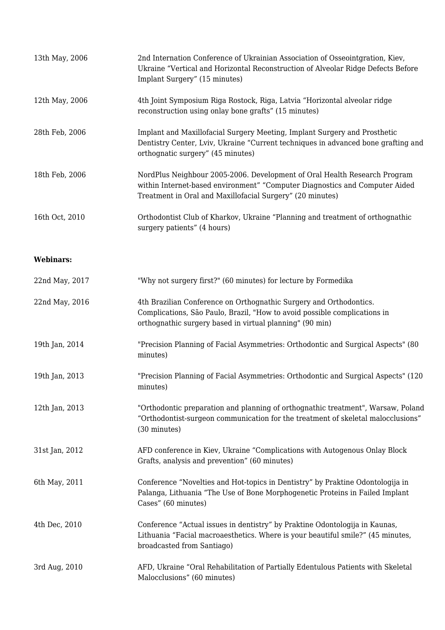| 13th May, 2006   | 2nd Internation Conference of Ukrainian Association of Osseointgration, Kiev,<br>Ukraine "Vertical and Horizontal Reconstruction of Alveolar Ridge Defects Before<br>Implant Surgery" (15 minutes)                    |
|------------------|-----------------------------------------------------------------------------------------------------------------------------------------------------------------------------------------------------------------------|
| 12th May, 2006   | 4th Joint Symposium Riga Rostock, Riga, Latvia "Horizontal alveolar ridge<br>reconstruction using onlay bone grafts" (15 minutes)                                                                                     |
| 28th Feb, 2006   | Implant and Maxillofacial Surgery Meeting, Implant Surgery and Prosthetic<br>Dentistry Center, Lviv, Ukraine "Current techniques in advanced bone grafting and<br>orthognatic surgery" (45 minutes)                   |
| 18th Feb, 2006   | NordPlus Neighbour 2005-2006. Development of Oral Health Research Program<br>within Internet-based environment" "Computer Diagnostics and Computer Aided<br>Treatment in Oral and Maxillofacial Surgery" (20 minutes) |
| 16th Oct, 2010   | Orthodontist Club of Kharkov, Ukraine "Planning and treatment of orthognathic<br>surgery patients" (4 hours)                                                                                                          |
| <b>Webinars:</b> |                                                                                                                                                                                                                       |
| 22nd May, 2017   | "Why not surgery first?" (60 minutes) for lecture by Formedika                                                                                                                                                        |
| 22nd May, 2016   | 4th Brazilian Conference on Orthognathic Surgery and Orthodontics.<br>Complications, São Paulo, Brazil, "How to avoid possible complications in<br>orthognathic surgery based in virtual planning" (90 min)           |
| 19th Jan, 2014   | "Precision Planning of Facial Asymmetries: Orthodontic and Surgical Aspects" (80<br>minutes)                                                                                                                          |
| 19th Jan, 2013   | "Precision Planning of Facial Asymmetries: Orthodontic and Surgical Aspects" (120)<br>minutes)                                                                                                                        |
| 12th Jan, 2013   | "Orthodontic preparation and planning of orthognathic treatment", Warsaw, Poland<br>"Orthodontist-surgeon communication for the treatment of skeletal malocclusions"<br>(30 minutes)                                  |
| 31st Jan, 2012   | AFD conference in Kiev, Ukraine "Complications with Autogenous Onlay Block<br>Grafts, analysis and prevention" (60 minutes)                                                                                           |
| 6th May, 2011    | Conference "Novelties and Hot-topics in Dentistry" by Praktine Odontologija in<br>Palanga, Lithuania "The Use of Bone Morphogenetic Proteins in Failed Implant<br>Cases" (60 minutes)                                 |
| 4th Dec, 2010    | Conference "Actual issues in dentistry" by Praktine Odontologija in Kaunas,<br>Lithuania "Facial macroaesthetics. Where is your beautiful smile?" (45 minutes,<br>broadcasted from Santiago)                          |
| 3rd Aug, 2010    | AFD, Ukraine "Oral Rehabilitation of Partially Edentulous Patients with Skeletal<br>Malocclusions" (60 minutes)                                                                                                       |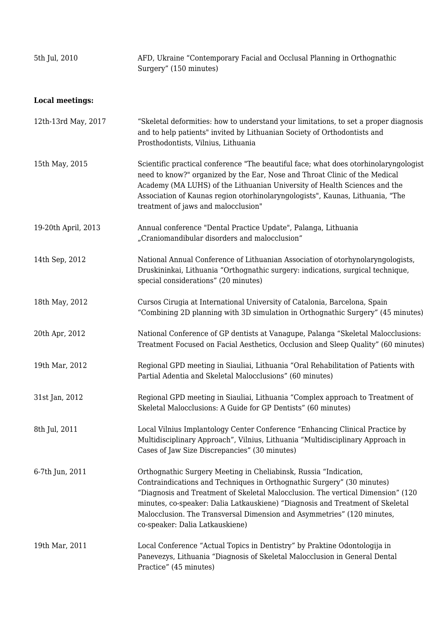| 5th Jul, 2010          | AFD, Ukraine "Contemporary Facial and Occlusal Planning in Orthognathic<br>Surgery" (150 minutes)                                                                                                                                                                                                                                                                                                                            |
|------------------------|------------------------------------------------------------------------------------------------------------------------------------------------------------------------------------------------------------------------------------------------------------------------------------------------------------------------------------------------------------------------------------------------------------------------------|
| <b>Local meetings:</b> |                                                                                                                                                                                                                                                                                                                                                                                                                              |
| 12th-13rd May, 2017    | "Skeletal deformities: how to understand your limitations, to set a proper diagnosis<br>and to help patients" invited by Lithuanian Society of Orthodontists and<br>Prosthodontists, Vilnius, Lithuania                                                                                                                                                                                                                      |
| 15th May, 2015         | Scientific practical conference "The beautiful face; what does otorhinolaryngologist<br>need to know?" organized by the Ear, Nose and Throat Clinic of the Medical<br>Academy (MA LUHS) of the Lithuanian University of Health Sciences and the<br>Association of Kaunas region otorhinolaryngologists", Kaunas, Lithuania, "The<br>treatment of jaws and malocclusion"                                                      |
| 19-20th April, 2013    | Annual conference "Dental Practice Update", Palanga, Lithuania<br>"Craniomandibular disorders and malocclusion"                                                                                                                                                                                                                                                                                                              |
| 14th Sep, 2012         | National Annual Conference of Lithuanian Association of otorhynolaryngologists,<br>Druskininkai, Lithuania "Orthognathic surgery: indications, surgical technique,<br>special considerations" (20 minutes)                                                                                                                                                                                                                   |
| 18th May, 2012         | Cursos Cirugia at International University of Catalonia, Barcelona, Spain<br>"Combining 2D planning with 3D simulation in Orthognathic Surgery" (45 minutes)                                                                                                                                                                                                                                                                 |
| 20th Apr, 2012         | National Conference of GP dentists at Vanagupe, Palanga "Skeletal Malocclusions:<br>Treatment Focused on Facial Aesthetics, Occlusion and Sleep Quality" (60 minutes)                                                                                                                                                                                                                                                        |
| 19th Mar, 2012         | Regional GPD meeting in Siauliai, Lithuania "Oral Rehabilitation of Patients with<br>Partial Adentia and Skeletal Malocclusions" (60 minutes)                                                                                                                                                                                                                                                                                |
| 31st Jan, 2012         | Regional GPD meeting in Siauliai, Lithuania "Complex approach to Treatment of<br>Skeletal Malocclusions: A Guide for GP Dentists" (60 minutes)                                                                                                                                                                                                                                                                               |
| 8th Jul, 2011          | Local Vilnius Implantology Center Conference "Enhancing Clinical Practice by<br>Multidisciplinary Approach", Vilnius, Lithuania "Multidisciplinary Approach in<br>Cases of Jaw Size Discrepancies" (30 minutes)                                                                                                                                                                                                              |
| 6-7th Jun, 2011        | Orthognathic Surgery Meeting in Cheliabinsk, Russia "Indication,<br>Contraindications and Techniques in Orthognathic Surgery" (30 minutes)<br>"Diagnosis and Treatment of Skeletal Malocclusion. The vertical Dimension" (120)<br>minutes, co-speaker: Dalia Latkauskiene) "Diagnosis and Treatment of Skeletal<br>Malocclusion. The Transversal Dimension and Asymmetries" (120 minutes,<br>co-speaker: Dalia Latkauskiene) |
| 19th Mar, 2011         | Local Conference "Actual Topics in Dentistry" by Praktine Odontologija in<br>Panevezys, Lithuania "Diagnosis of Skeletal Malocclusion in General Dental<br>Practice" (45 minutes)                                                                                                                                                                                                                                            |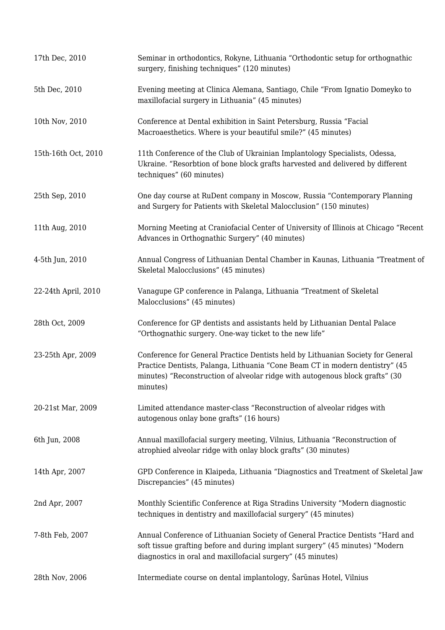| 17th Dec, 2010      | Seminar in orthodontics, Rokyne, Lithuania "Orthodontic setup for orthognathic<br>surgery, finishing techniques" (120 minutes)                                                                                                                              |
|---------------------|-------------------------------------------------------------------------------------------------------------------------------------------------------------------------------------------------------------------------------------------------------------|
| 5th Dec, 2010       | Evening meeting at Clinica Alemana, Santiago, Chile "From Ignatio Domeyko to<br>maxillofacial surgery in Lithuania" (45 minutes)                                                                                                                            |
| 10th Nov, 2010      | Conference at Dental exhibition in Saint Petersburg, Russia "Facial<br>Macroaesthetics. Where is your beautiful smile?" (45 minutes)                                                                                                                        |
| 15th-16th Oct, 2010 | 11th Conference of the Club of Ukrainian Implantology Specialists, Odessa,<br>Ukraine. "Resorbtion of bone block grafts harvested and delivered by different<br>techniques" (60 minutes)                                                                    |
| 25th Sep, 2010      | One day course at RuDent company in Moscow, Russia "Contemporary Planning<br>and Surgery for Patients with Skeletal Malocclusion" (150 minutes)                                                                                                             |
| 11th Aug, 2010      | Morning Meeting at Craniofacial Center of University of Illinois at Chicago "Recent<br>Advances in Orthognathic Surgery" (40 minutes)                                                                                                                       |
| 4-5th Jun, 2010     | Annual Congress of Lithuanian Dental Chamber in Kaunas, Lithuania "Treatment of<br>Skeletal Malocclusions" (45 minutes)                                                                                                                                     |
| 22-24th April, 2010 | Vanagupe GP conference in Palanga, Lithuania "Treatment of Skeletal<br>Malocclusions" (45 minutes)                                                                                                                                                          |
| 28th Oct, 2009      | Conference for GP dentists and assistants held by Lithuanian Dental Palace<br>"Orthognathic surgery. One-way ticket to the new life"                                                                                                                        |
| 23-25th Apr, 2009   | Conference for General Practice Dentists held by Lithuanian Society for General<br>Practice Dentists, Palanga, Lithuania "Cone Beam CT in modern dentistry" (45<br>minutes) "Reconstruction of alveolar ridge with autogenous block grafts" (30<br>minutes) |
| 20-21st Mar, 2009   | Limited attendance master-class "Reconstruction of alveolar ridges with<br>autogenous onlay bone grafts" (16 hours)                                                                                                                                         |
| 6th Jun, 2008       | Annual maxillofacial surgery meeting, Vilnius, Lithuania "Reconstruction of<br>atrophied alveolar ridge with onlay block grafts" (30 minutes)                                                                                                               |
| 14th Apr, 2007      | GPD Conference in Klaipeda, Lithuania "Diagnostics and Treatment of Skeletal Jaw<br>Discrepancies" (45 minutes)                                                                                                                                             |
| 2nd Apr, 2007       | Monthly Scientific Conference at Riga Stradins University "Modern diagnostic<br>techniques in dentistry and maxillofacial surgery" (45 minutes)                                                                                                             |
| 7-8th Feb, 2007     | Annual Conference of Lithuanian Society of General Practice Dentists "Hard and<br>soft tissue grafting before and during implant surgery" (45 minutes) "Modern<br>diagnostics in oral and maxillofacial surgery" (45 minutes)                               |
| 28th Nov, 2006      | Intermediate course on dental implantology, Šarūnas Hotel, Vilnius                                                                                                                                                                                          |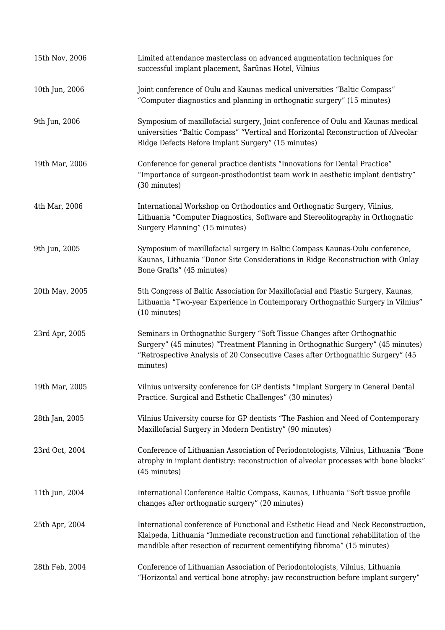| 15th Nov, 2006 | Limited attendance masterclass on advanced augmentation techniques for<br>successful implant placement, Šarūnas Hotel, Vilnius                                                                                                                             |
|----------------|------------------------------------------------------------------------------------------------------------------------------------------------------------------------------------------------------------------------------------------------------------|
| 10th Jun, 2006 | Joint conference of Oulu and Kaunas medical universities "Baltic Compass"<br>"Computer diagnostics and planning in orthognatic surgery" (15 minutes)                                                                                                       |
| 9th Jun, 2006  | Symposium of maxillofacial surgery, Joint conference of Oulu and Kaunas medical<br>universities "Baltic Compass" "Vertical and Horizontal Reconstruction of Alveolar<br>Ridge Defects Before Implant Surgery" (15 minutes)                                 |
| 19th Mar, 2006 | Conference for general practice dentists "Innovations for Dental Practice"<br>"Importance of surgeon-prosthodontist team work in aesthetic implant dentistry"<br>(30 minutes)                                                                              |
| 4th Mar, 2006  | International Workshop on Orthodontics and Orthognatic Surgery, Vilnius,<br>Lithuania "Computer Diagnostics, Software and Stereolitography in Orthognatic<br>Surgery Planning" (15 minutes)                                                                |
| 9th Jun, 2005  | Symposium of maxillofacial surgery in Baltic Compass Kaunas-Oulu conference,<br>Kaunas, Lithuania "Donor Site Considerations in Ridge Reconstruction with Onlay<br>Bone Grafts" (45 minutes)                                                               |
| 20th May, 2005 | 5th Congress of Baltic Association for Maxillofacial and Plastic Surgery, Kaunas,<br>Lithuania "Two-year Experience in Contemporary Orthognathic Surgery in Vilnius"<br>(10 minutes)                                                                       |
| 23rd Apr, 2005 | Seminars in Orthognathic Surgery "Soft Tissue Changes after Orthognathic<br>Surgery" (45 minutes) "Treatment Planning in Orthognathic Surgery" (45 minutes)<br>"Retrospective Analysis of 20 Consecutive Cases after Orthognathic Surgery" (45<br>minutes) |
| 19th Mar, 2005 | Vilnius university conference for GP dentists "Implant Surgery in General Dental<br>Practice. Surgical and Esthetic Challenges" (30 minutes)                                                                                                               |
| 28th Jan, 2005 | Vilnius University course for GP dentists "The Fashion and Need of Contemporary<br>Maxillofacial Surgery in Modern Dentistry" (90 minutes)                                                                                                                 |
| 23rd Oct, 2004 | Conference of Lithuanian Association of Periodontologists, Vilnius, Lithuania "Bone<br>atrophy in implant dentistry: reconstruction of alveolar processes with bone blocks"<br>(45 minutes)                                                                |
| 11th Jun, 2004 | International Conference Baltic Compass, Kaunas, Lithuania "Soft tissue profile<br>changes after orthognatic surgery" (20 minutes)                                                                                                                         |
| 25th Apr, 2004 | International conference of Functional and Esthetic Head and Neck Reconstruction,<br>Klaipeda, Lithuania "Immediate reconstruction and functional rehabilitation of the<br>mandible after resection of recurrent cementifying fibroma" (15 minutes)        |
| 28th Feb, 2004 | Conference of Lithuanian Association of Periodontologists, Vilnius, Lithuania<br>"Horizontal and vertical bone atrophy: jaw reconstruction before implant surgery"                                                                                         |